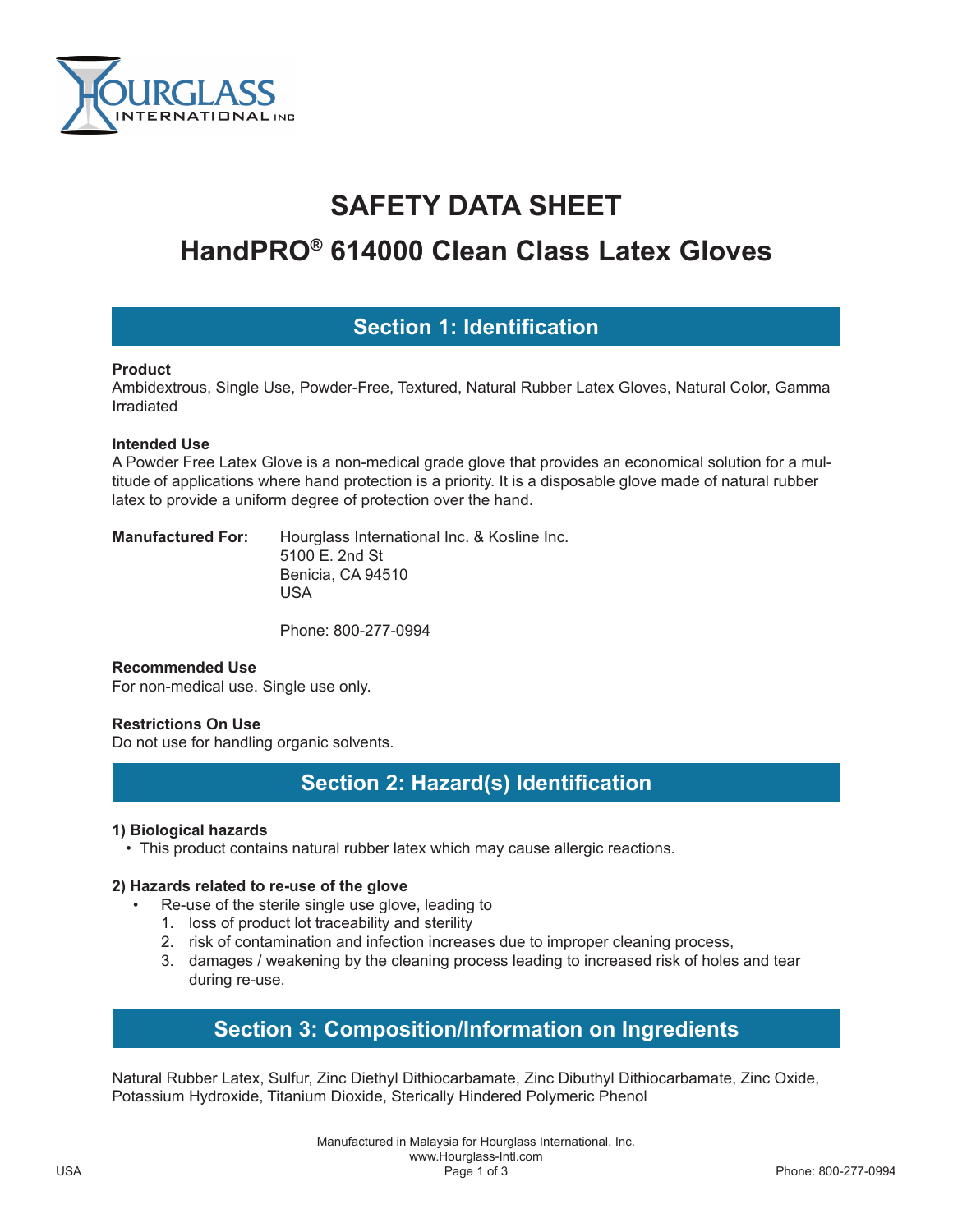

# **SAFETY DATA SHEET**

# **HandPRO® 614000 Clean Class Latex Gloves**

# **Section 1: Identification**

#### **Product**

Ambidextrous, Single Use, Powder-Free, Textured, Natural Rubber Latex Gloves, Natural Color, Gamma Irradiated

#### **Intended Use**

A Powder Free Latex Glove is a non-medical grade glove that provides an economical solution for a multitude of applications where hand protection is a priority. It is a disposable glove made of natural rubber latex to provide a uniform degree of protection over the hand.

**Manufactured For:** Hourglass International Inc. & Kosline Inc. 5100 E. 2nd St Benicia, CA 94510 USA

Phone: 800-277-0994

#### **Recommended Use**

For non-medical use. Single use only.

#### **Restrictions On Use**

Do not use for handling organic solvents.

# **Section 2: Hazard(s) Identification**

#### **1) Biological hazards**

• This product contains natural rubber latex which may cause allergic reactions.

#### **2) Hazards related to re-use of the glove**

- Re-use of the sterile single use glove, leading to
	- 1. loss of product lot traceability and sterility
	- 2. risk of contamination and infection increases due to improper cleaning process,
	- 3. damages / weakening by the cleaning process leading to increased risk of holes and tear during re-use.

# **Section 3: Composition/Information on Ingredients**

Natural Rubber Latex, Sulfur, Zinc Diethyl Dithiocarbamate, Zinc Dibuthyl Dithiocarbamate, Zinc Oxide, Potassium Hydroxide, Titanium Dioxide, Sterically Hindered Polymeric Phenol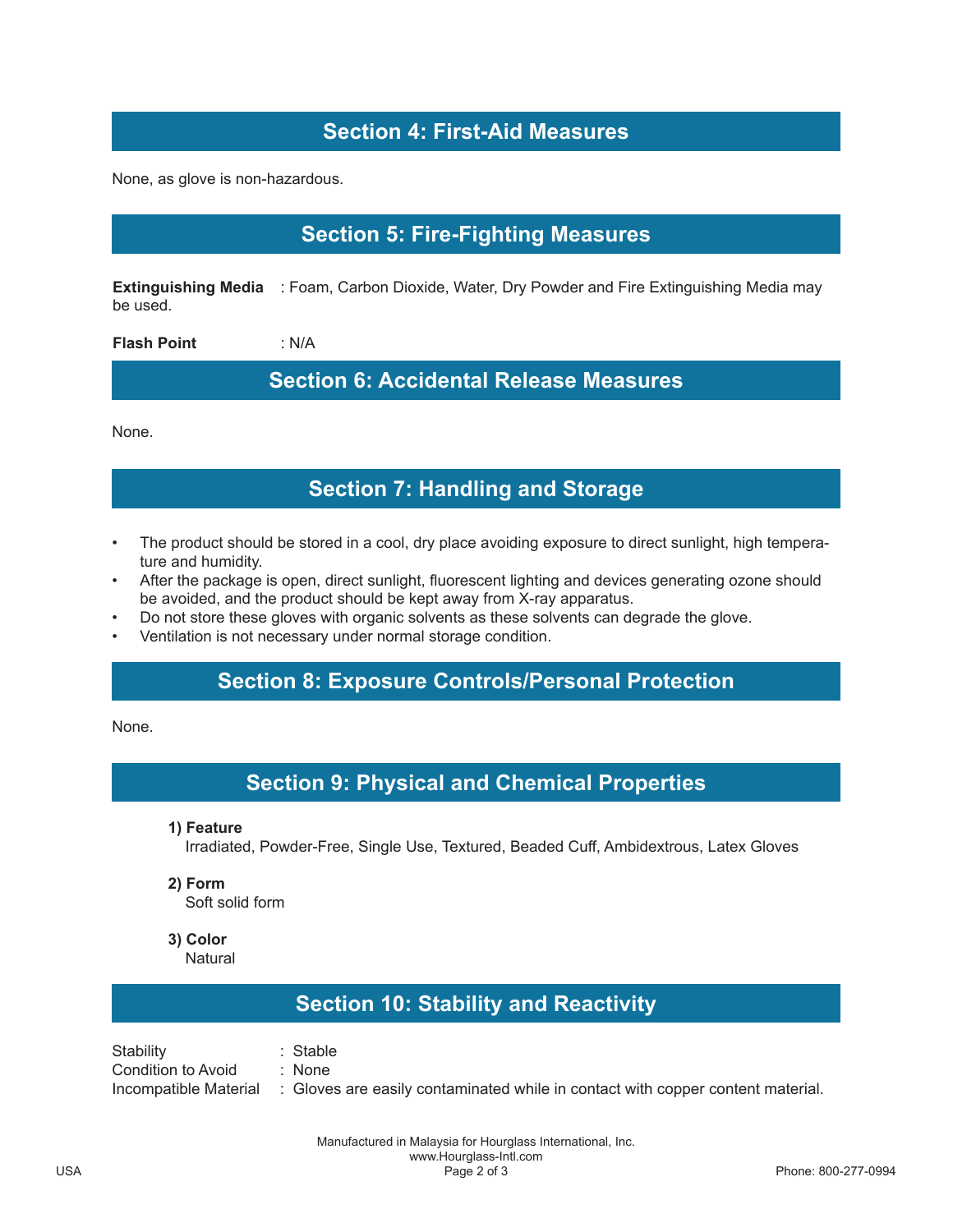# **Section 4: First-Aid Measures**

None, as glove is non-hazardous.

## **Section 5: Fire-Fighting Measures**

**Extinguishing Media** : Foam, Carbon Dioxide, Water, Dry Powder and Fire Extinguishing Media may be used.

**Flash Point** : N/A

**Section 6: Accidental Release Measures**

None.

### **Section 7: Handling and Storage**

- The product should be stored in a cool, dry place avoiding exposure to direct sunlight, high temperature and humidity.
- After the package is open, direct sunlight, fluorescent lighting and devices generating ozone should be avoided, and the product should be kept away from X-ray apparatus.
- Do not store these gloves with organic solvents as these solvents can degrade the glove.
- Ventilation is not necessary under normal storage condition.

### **Section 8: Exposure Controls/Personal Protection**

None.

### **Section 9: Physical and Chemical Properties**

**1) Feature**

Irradiated, Powder-Free, Single Use, Textured, Beaded Cuff, Ambidextrous, Latex Gloves

**2) Form**

Soft solid form

**3) Color**

**Natural** 

# **Section 10: Stability and Reactivity**

Stability : Stable Condition to Avoid : None Incompatible Material : Gloves are easily contaminated while in contact with copper content material.

> Manufactured in Malaysia for Hourglass International, Inc. www.Hourglass-Intl.com